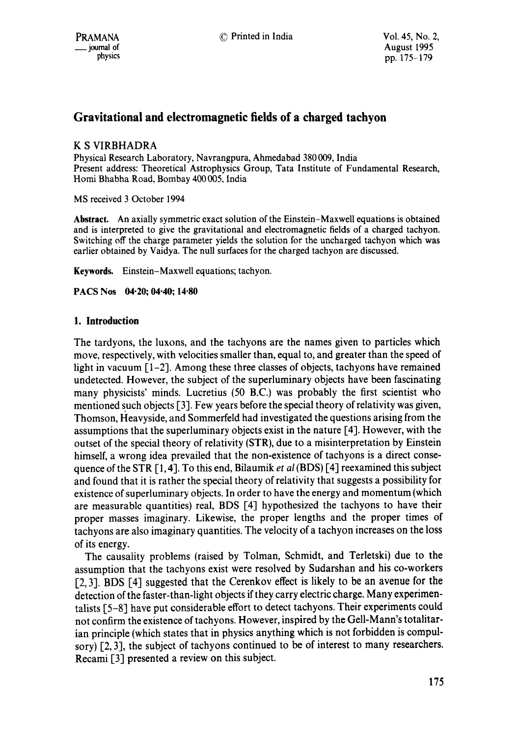# **Gravitational and electromagnetic fields of a charged tachyon**

# K S VIRBHADRA

Physical Research Laboratory, Navrangpura, Ahmedabad 380 009, India Present address: Theoretical Astrophysics Group, Tata Institute of Fundamental Research, Homi Bhabha Road, Bombay 400 005. India

MS received 3 October 1994

**Abstract.** An axially symmetric exact solution of the Einstein-Maxwell equations is obtained and is interpreted to give the gravitational and electromagnetic fields of a charged tachyon. Switching off the charge parameter yields the solution for the uncharged tachyon which was earlier obtained by Vaidya. The null surfaces for the charged tachyon are discussed.

**Keywords.** Einstein-Maxwell equations; tachyon.

**PACS Nos 04"20; 04"40; 14"80** 

# **1. Introduction**

The tardyons, the luxons, and the tachyons are the names given to particles which move, respectively, with velocities smaller than, equal to, and greater than the speed of light in vacuum [1-2]. Among these three classes of objects, tachyons have remained undetected. However, the subject of the superluminary objects have been fascinating many physicists' minds. Lucretius (50 B.C.) was probably the first scientist who mentioned such objects [3]. Few years before the special theory of relativity was given, Thomson, Heavyside, and Sommerfeld had investigated the questions arising from the assumptions that the superluminary objects exist in the nature [4]. However, with the outset of the special theory of relativity (STR), due to a misinterpretation by Einstein himself, a wrong idea prevailed that the non-existence of tachyons is a direct consequence of the STR [1, 4]. To this end, Bilaumik *et al* (BDS) [4] reexamined this subject and found that it is rather the special theory of relativity that suggests a possibility for existence of superluminary objects. In order to have the energy and momentum (which are measurable quantities) real, BDS [4] hypothesized the tachyons to have their proper masses imaginary. Likewise, the proper lengths and the proper times of tachyons are also imaginary quantities. The velocity of a tachyon increases on the loss of its energy.

The causality problems (raised by Tolman, Schmidt, and Terletski) due to the assumption that the tachyons exist were resolved by Sudarshan and his co-workers [2, 3]. BDS [4] suggested that the Cerenkov effect is likely to be an avenue for the detection of the faster-than-light objects if they carry electric charge. Many experimentalists [5-8] have put considerable effort to detect tachyons. Their experiments could not confirm the existence of tachyons. However, inspired by the Gell-Mann's totalitarian principle (which states that in physics anything which is not forbidden is compulsory) [2, 3], the subject of tachyons continued to be of interest to many researchers. Recami [3] presented a review on this subject.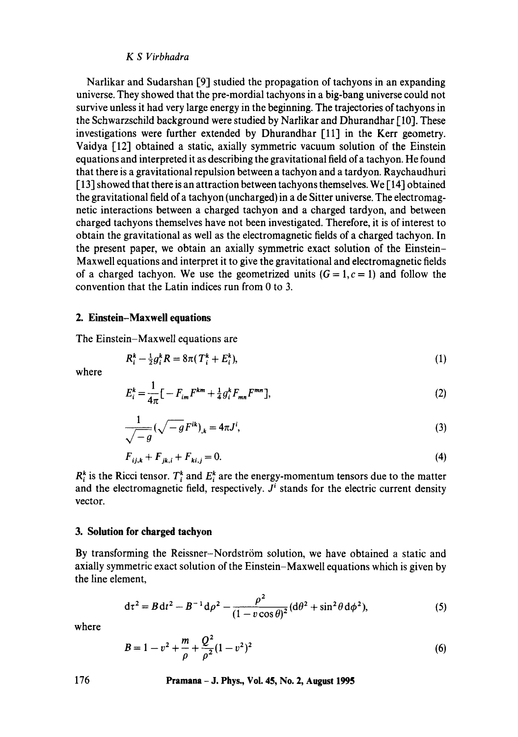#### *KS Virbhadra*

Narlikar and Sudarshan [9] studied the propagation of tachyons in an expanding universe. They showed that the pre-mordial tachyons in a big-bang universe could not survive unless it had very large energy in the beginning. The trajectories of tachyons in the Schwarzschild background were studied by Narlikar and Dhurandhar [10]. These investigations were further extended by Dhurandhar [11] in the Kerr geometry. Vaidya [12] obtained a static, axially symmetric vacuum solution of the Einstein equations and interpreted it as describing the gravitational field of a tachyon. He found that there is a gravitational repulsion between a tachyon and a tardyon. Raychaudhuri  $[13]$  showed that there is an attraction between tachyons themselves. We  $[14]$  obtained the gravitational field of a tachyon (uncharged) in a de Sitter universe. The electromagnetic interactions between a charged tachyon and a charged tardyon, and between charged tachyons themselves have not been investigated. Therefore, it is of interest to obtain the gravitational as well as the electromagnetic fields of a charged tachyon. In the present paper, we obtain an axially symmetric exact solution of the Einstein-Maxwell equations and interpret it to give the gravitational and electromagnetic fields of a charged tachyon. We use the geometrized units  $(G = 1, c = 1)$  and follow the convention that the Latin indices run from 0 to 3.

#### **2. Einstein-Maxwell equations**

The Einstein-Maxwell equations are

$$
R_i^k - \frac{1}{2}g_i^k R = 8\pi (T_i^k + E_i^k),\tag{1}
$$

where

$$
E_i^k = \frac{1}{4\pi} \left[ -F_{im} F^{km} + \frac{1}{4} g_i^k F_{mn} F^{mn} \right],
$$
 (2)

$$
\frac{1}{\sqrt{-g}}(\sqrt{-g}F^{ik})_{,k} = 4\pi J^{i},\tag{3}
$$

$$
F_{ij,k} + F_{jk,i} + F_{ki,j} = 0.
$$
\n(4)

 $R_i^k$  is the Ricci tensor.  $T_i^k$  and  $E_i^k$  are the energy-momentum tensors due to the matter and the electromagnetic field, respectively.  $J^i$  stands for the electric current density vector.

### **3. Solution for charged tachyon**

By transforming the Reissner-Nordström solution, we have obtained a static and axially symmetric exact solution of the Einstein-Maxwell equations which is given by the line element,

$$
d\tau^2 = B dt^2 - B^{-1} d\rho^2 - \frac{\rho^2}{(1 - v \cos \theta)^2} (d\theta^2 + \sin^2 \theta d\phi^2),
$$
 (5)

where

$$
B = 1 - v^2 + \frac{m}{\rho} + \frac{Q^2}{\rho^2} (1 - v^2)^2
$$
 (6)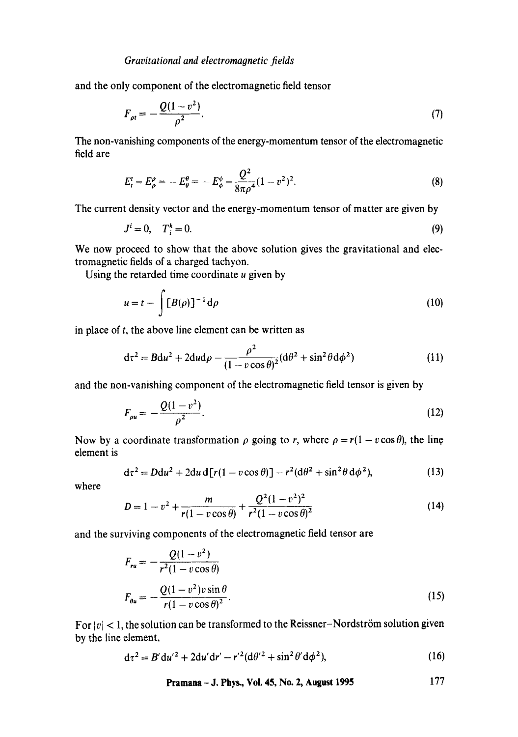and the only component of the electromagnetic field tensor

$$
F_{\rho t} = -\frac{Q(1 - v^2)}{\rho^2}.
$$
 (7)

The non-vanishing components of the energy-momentum tensor of the electromagnetic field are

$$
E_t^t = E_\rho^\rho = -E_\theta^\theta = -E_\phi^\phi = \frac{Q^2}{8\pi\rho^4} (1 - v^2)^2.
$$
 (8)

The current density vector and the energy-momentum tensor of matter are given by

$$
J^i = 0, \quad T_i^k = 0. \tag{9}
$$

We now proceed to show that the above solution gives the gravitational and electromagnetic fields of a charged tachyon.

Using the retarded time coordinate  $u$  given by

$$
u = t - \int [B(\rho)]^{-1} d\rho \tag{10}
$$

in place of  $t$ , the above line element can be written as

$$
d\tau^2 = B du^2 + 2du d\rho - \frac{\rho^2}{(1 - v \cos \theta)^2} (d\theta^2 + \sin^2 \theta d\phi^2)
$$
 (11)

and the non-vanishing component of the electromagnetic field tensor is given by

$$
F_{\rho u} = -\frac{Q(1 - v^2)}{\rho^2}.
$$
 (12)

Now by a coordinate transformation  $\rho$  going to r, where  $\rho = r(1 - v \cos \theta)$ , the line element is

$$
d\tau^2 = Ddu^2 + 2du d[r(1 - v \cos \theta)] - r^2(d\theta^2 + \sin^2 \theta d\phi^2),
$$
 (13)

where

$$
D = 1 - v^2 + \frac{m}{r(1 - v\cos\theta)} + \frac{Q^2(1 - v^2)^2}{r^2(1 - v\cos\theta)^2}
$$
 (14)

and the surviving components of the electromagnetic field tensor are

$$
F_{ru} = -\frac{Q(1 - v^2)}{r^2(1 - v\cos\theta)}
$$
  

$$
F_{\theta u} = -\frac{Q(1 - v^2)v\sin\theta}{r(1 - v\cos\theta)^2}.
$$
 (15)

For  $|v|$  < 1, the solution can be transformed to the Reissner-Nordström solution given by the line element,

$$
d\tau^2 = B' du'^2 + 2du'dr' - r'^2 (d\theta'^2 + \sin^2 \theta' d\phi^2),
$$
 (16)

**Pramana - J. Phys., Vol. 45, No. 2, August 1995 177**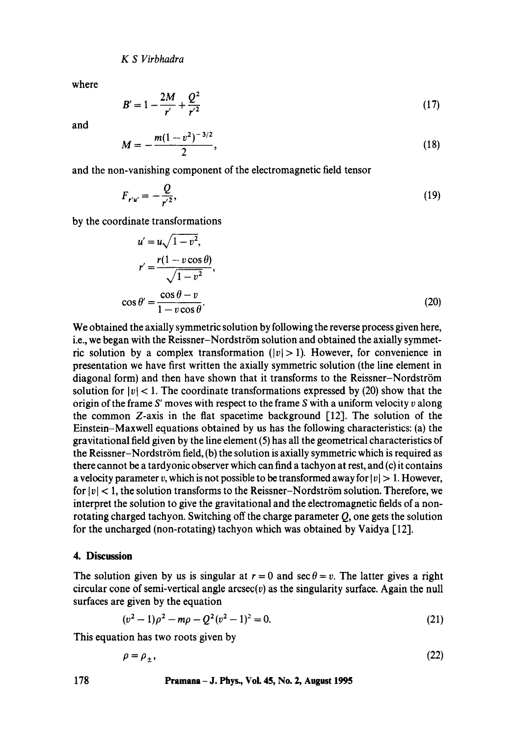*K S Virbhadra* 

where

$$
B'=1-\frac{2M}{r'}+\frac{Q^2}{r'^2}
$$
 (17)

and

$$
M=-\frac{m(1-v^2)^{-3/2}}{2},\qquad \qquad (18)
$$

and the non-vanishing component of the electromagnetic field tensor

$$
F_{r'u'} = -\frac{Q}{r'^2},\tag{19}
$$

by the coordinate transformations

$$
u' = u\sqrt{1 - v^2},
$$
  
\n
$$
r' = \frac{r(1 - v\cos\theta)}{\sqrt{1 - v^2}},
$$
  
\n
$$
\cos\theta' = \frac{\cos\theta - v}{1 - v\cos\theta}.
$$
\n(20)

We obtained the axially symmetric solution by following the reverse process given here, i.e., we began with the Reissner-Nordström solution and obtained the axially symmetric solution by a complex transformation  $(|v| > 1)$ . However, for convenience in presentation we have first written the axially symmetric solution (the line element in diagonal form) and then have shown that it transforms to the Reissner-Nordström solution for  $|v| < 1$ . The coordinate transformations expressed by (20) show that the origin of the frame S' moves with respect to the frame S with a uniform velocity  $v$  along the common Z-axis in the fiat spacetime background [12]. The solution of the Einstein-Maxwell equations obtained by us has the following characteristics: (a) the gravitational field given by the line element (5) has all the geometrical characteristics of the Reissner-Nordström field, (b) the solution is axially symmetric which is required as there cannot be a tardyonic observer which can find a tachyon at rest, and (c) it contains a velocity parameter v, which is not possible to be transformed away for  $|v| > 1$ . However, for  $|v| < 1$ , the solution transforms to the Reissner-Nordström solution. Therefore, we interpret the solution to give the gravitational and the electromagnetic fields of a nonrotating charged tachyon. Switching off the charge parameter Q, one gets the solution for the uncharged (non-rotating) tachyon which was obtained by Vaidya  $[12]$ .

## **4. Discussion**

The solution given by us is singular at  $r = 0$  and sec  $\theta = v$ . The latter gives a right circular cone of semi-vertical angle  $\arccos(c)$  as the singularity surface. Again the null surfaces are given by the equation

$$
(v2 - 1)\rho2 - m\rho - Q2(v2 - 1)2 = 0.
$$
 (21)

This equation has two roots given by

$$
\rho = \rho_{\pm},\tag{22}
$$